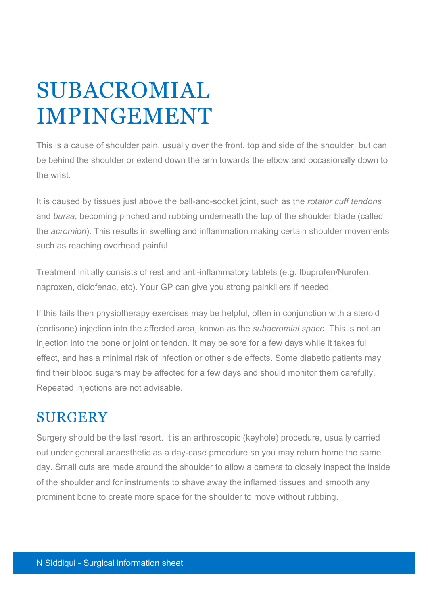## SUBACROMIAL IMPINGEMENT

This is a cause of shoulder pain, usually over the front, top and side of the shoulder, but can be behind the shoulder or extend down the arm towards the elbow and occasionally down to the wrist.

It is caused by tissues just above the ball-and-socket joint, such as the *rotator cuff tendons* and *bursa*, becoming pinched and rubbing underneath the top of the shoulder blade (called the *acromion*). This results in swelling and inflammation making certain shoulder movements such as reaching overhead painful.

Treatment initially consists of rest and anti-inflammatory tablets (e.g. Ibuprofen/Nurofen, naproxen, diclofenac, etc). Your GP can give you strong painkillers if needed.

If this fails then physiotherapy exercises may be helpful, often in conjunction with a steroid (cortisone) injection into the affected area, known as the *subacromial space*. This is not an injection into the bone or joint or tendon. It may be sore for a few days while it takes full effect, and has a minimal risk of infection or other side effects. Some diabetic patients may find their blood sugars may be affected for a few days and should monitor them carefully. Repeated injections are not advisable.

## **SURGERY**

Surgery should be the last resort. It is an arthroscopic (keyhole) procedure, usually carried out under general anaesthetic as a day-case procedure so you may return home the same day. Small cuts are made around the shoulder to allow a camera to closely inspect the inside of the shoulder and for instruments to shave away the inflamed tissues and smooth any prominent bone to create more space for the shoulder to move without rubbing.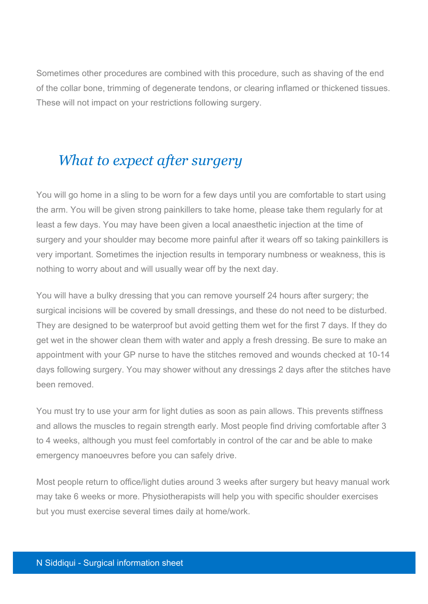Sometimes other procedures are combined with this procedure, such as shaving of the end of the collar bone, trimming of degenerate tendons, or clearing inflamed or thickened tissues. These will not impact on your restrictions following surgery.

## *What to expect after surgery*

You will go home in a sling to be worn for a few days until you are comfortable to start using the arm. You will be given strong painkillers to take home, please take them regularly for at least a few days. You may have been given a local anaesthetic injection at the time of surgery and your shoulder may become more painful after it wears off so taking painkillers is very important. Sometimes the injection results in temporary numbness or weakness, this is nothing to worry about and will usually wear off by the next day.

You will have a bulky dressing that you can remove yourself 24 hours after surgery; the surgical incisions will be covered by small dressings, and these do not need to be disturbed. They are designed to be waterproof but avoid getting them wet for the first 7 days. If they do get wet in the shower clean them with water and apply a fresh dressing. Be sure to make an appointment with your GP nurse to have the stitches removed and wounds checked at 10-14 days following surgery. You may shower without any dressings 2 days after the stitches have been removed.

You must try to use your arm for light duties as soon as pain allows. This prevents stiffness and allows the muscles to regain strength early. Most people find driving comfortable after 3 to 4 weeks, although you must feel comfortably in control of the car and be able to make emergency manoeuvres before you can safely drive.

Most people return to office/light duties around 3 weeks after surgery but heavy manual work may take 6 weeks or more. Physiotherapists will help you with specific shoulder exercises but you must exercise several times daily at home/work.